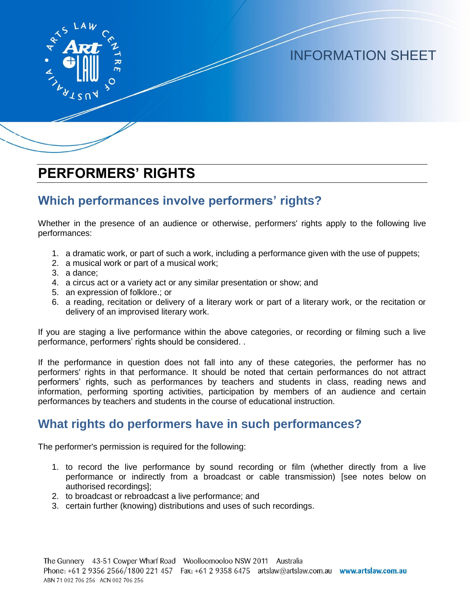

INFORMATION SHEET

# **PERFORMERS' RIGHTS**

### **Which performances involve performers' rights?**

Whether in the presence of an audience or otherwise, performers' rights apply to the following live performances:

- 1. a dramatic work, or part of such a work, including a performance given with the use of puppets;
- 2. a musical work or part of a musical work;
- 3. a dance;
- 4. a circus act or a variety act or any similar presentation or show; and
- 5. an expression of folklore.; or
- 6. a reading, recitation or delivery of a literary work or part of a literary work, or the recitation or delivery of an improvised literary work.

If you are staging a live performance within the above categories, or recording or filming such a live performance, performers' rights should be considered. .

If the performance in question does not fall into any of these categories, the performer has no performers' rights in that performance. It should be noted that certain performances do not attract performers' rights, such as performances by teachers and students in class, reading news and information, performing sporting activities, participation by members of an audience and certain performances by teachers and students in the course of educational instruction.

### **What rights do performers have in such performances?**

The performer's permission is required for the following:

- 1. to record the live performance by sound recording or film (whether directly from a live performance or indirectly from a broadcast or cable transmission) [see notes below on authorised recordings];
- 2. to broadcast or rebroadcast a live performance; and
- 3. certain further (knowing) distributions and uses of such recordings.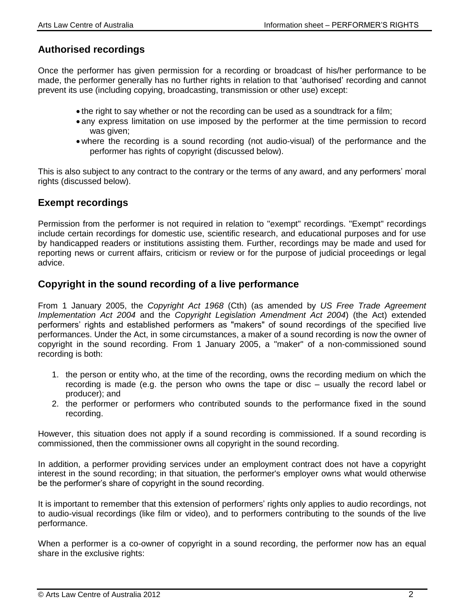### **Authorised recordings**

Once the performer has given permission for a recording or broadcast of his/her performance to be made, the performer generally has no further rights in relation to that 'authorised' recording and cannot prevent its use (including copying, broadcasting, transmission or other use) except:

- the right to say whether or not the recording can be used as a soundtrack for a film;
- any express limitation on use imposed by the performer at the time permission to record was given;
- where the recording is a sound recording (not audio-visual) of the performance and the performer has rights of copyright (discussed below).

This is also subject to any contract to the contrary or the terms of any award, and any performers' moral rights (discussed below).

### **Exempt recordings**

Permission from the performer is not required in relation to "exempt" recordings. "Exempt" recordings include certain recordings for domestic use, scientific research, and educational purposes and for use by handicapped readers or institutions assisting them. Further, recordings may be made and used for reporting news or current affairs, criticism or review or for the purpose of judicial proceedings or legal advice.

#### **Copyright in the sound recording of a live performance**

From 1 January 2005, the *Copyright Act 1968* (Cth) (as amended by *US Free Trade Agreement Implementation Act 2004* and the *Copyright Legislation Amendment Act 2004*) (the Act) extended performers' rights and established performers as "makers" of sound recordings of the specified live performances. Under the Act, in some circumstances, a maker of a sound recording is now the owner of copyright in the sound recording. From 1 January 2005, a "maker" of a non-commissioned sound recording is both:

- 1. the person or entity who, at the time of the recording, owns the recording medium on which the recording is made (e.g. the person who owns the tape or disc – usually the record label or producer); and
- 2. the performer or performers who contributed sounds to the performance fixed in the sound recording.

However, this situation does not apply if a sound recording is commissioned. If a sound recording is commissioned, then the commissioner owns all copyright in the sound recording.

In addition, a performer providing services under an employment contract does not have a copyright interest in the sound recording; in that situation, the performer's employer owns what would otherwise be the performer's share of copyright in the sound recording.

It is important to remember that this extension of performers' rights only applies to audio recordings, not to audio-visual recordings (like film or video), and to performers contributing to the sounds of the live performance.

When a performer is a co-owner of copyright in a sound recording, the performer now has an equal share in the exclusive rights: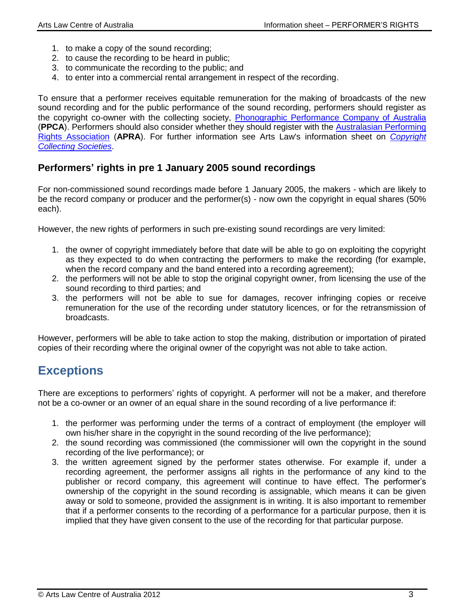- 1. to make a copy of the sound recording;
- 2. to cause the recording to be heard in public;
- 3. to communicate the recording to the public; and
- 4. to enter into a commercial rental arrangement in respect of the recording.

To ensure that a performer receives equitable remuneration for the making of broadcasts of the new sound recording and for the public performance of the sound recording, performers should register as the copyright co-owner with the collecting society, [Phonographic Performance Company of Australia](http://www.ppca.com.au/) (**PPCA**). Performers should also consider whether they should register with the [Australasian Performing](http://www.apra-amcos.com.au/)  [Rights Association](http://www.apra-amcos.com.au/) (**APRA**). For further information see Arts Law's information sheet on *[Copyright](http://www.artslaw.com.au/info-sheets/info-sheet/copyright-collecting-societies/)  [Collecting Societies](http://www.artslaw.com.au/info-sheets/info-sheet/copyright-collecting-societies/)*.

### **Performers' rights in pre 1 January 2005 sound recordings**

For non-commissioned sound recordings made before 1 January 2005, the makers - which are likely to be the record company or producer and the performer(s) - now own the copyright in equal shares (50% each).

However, the new rights of performers in such pre-existing sound recordings are very limited:

- 1. the owner of copyright immediately before that date will be able to go on exploiting the copyright as they expected to do when contracting the performers to make the recording (for example, when the record company and the band entered into a recording agreement);
- 2. the performers will not be able to stop the original copyright owner, from licensing the use of the sound recording to third parties; and
- 3. the performers will not be able to sue for damages, recover infringing copies or receive remuneration for the use of the recording under statutory licences, or for the retransmission of broadcasts.

However, performers will be able to take action to stop the making, distribution or importation of pirated copies of their recording where the original owner of the copyright was not able to take action.

# **Exceptions**

There are exceptions to performers' rights of copyright. A performer will not be a maker, and therefore not be a co-owner or an owner of an equal share in the sound recording of a live performance if:

- 1. the performer was performing under the terms of a contract of employment (the employer will own his/her share in the copyright in the sound recording of the live performance);
- 2. the sound recording was commissioned (the commissioner will own the copyright in the sound recording of the live performance); or
- 3. the written agreement signed by the performer states otherwise. For example if, under a recording agreement, the performer assigns all rights in the performance of any kind to the publisher or record company, this agreement will continue to have effect. The performer's ownership of the copyright in the sound recording is assignable, which means it can be given away or sold to someone, provided the assignment is in writing. It is also important to remember that if a performer consents to the recording of a performance for a particular purpose, then it is implied that they have given consent to the use of the recording for that particular purpose.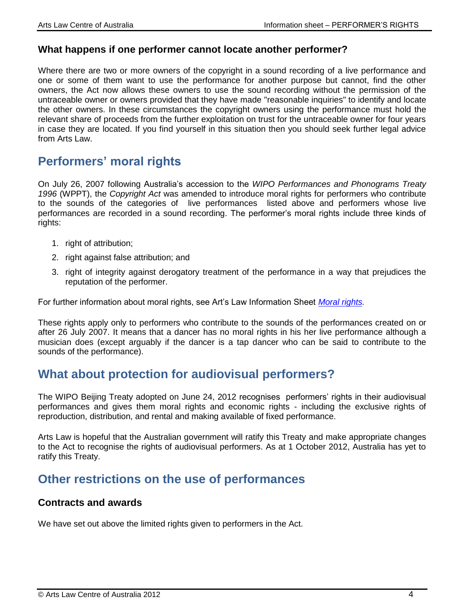#### **What happens if one performer cannot locate another performer?**

Where there are two or more owners of the copyright in a sound recording of a live performance and one or some of them want to use the performance for another purpose but cannot, find the other owners, the Act now allows these owners to use the sound recording without the permission of the untraceable owner or owners provided that they have made "reasonable inquiries" to identify and locate the other owners. In these circumstances the copyright owners using the performance must hold the relevant share of proceeds from the further exploitation on trust for the untraceable owner for four years in case they are located. If you find yourself in this situation then you should seek further legal advice from Arts Law.

## **Performers' moral rights**

On July 26, 2007 following Australia's accession to the *WIPO Performances and Phonograms Treaty 1996* (WPPT), the *Copyright Act* was amended to introduce moral rights for performers who contribute to the sounds of the categories of live performances listed above and performers whose live performances are recorded in a sound recording. The performer's moral rights include three kinds of rights:

- 1. right of attribution;
- 2. right against false attribution; and
- 3. right of integrity against derogatory treatment of the performance in a way that prejudices the reputation of the performer.

For further information about moral rights, see Art's Law Information Sheet *[Moral rights.](http://www.artslaw.com.au/info-sheets/info-sheet/moral-rights/)*

These rights apply only to performers who contribute to the sounds of the performances created on or after 26 July 2007. It means that a dancer has no moral rights in his her live performance although a musician does (except arguably if the dancer is a tap dancer who can be said to contribute to the sounds of the performance).

### **What about protection for audiovisual performers?**

The WIPO Beijing Treaty adopted on June 24, 2012 recognises performers' rights in their audiovisual performances and gives them moral rights and economic rights - including the exclusive rights of reproduction, distribution, and rental and making available of fixed performance.

Arts Law is hopeful that the Australian government will ratify this Treaty and make appropriate changes to the Act to recognise the rights of audiovisual performers. As at 1 October 2012, Australia has yet to ratify this Treaty.

### **Other restrictions on the use of performances**

#### **Contracts and awards**

We have set out above the limited rights given to performers in the Act.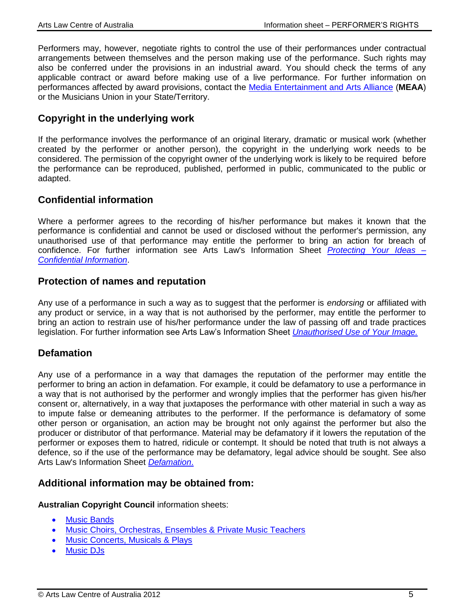Performers may, however, negotiate rights to control the use of their performances under contractual arrangements between themselves and the person making use of the performance. Such rights may also be conferred under the provisions in an industrial award. You should check the terms of any applicable contract or award before making use of a live performance. For further information on performances affected by award provisions, contact the [Media Entertainment and Arts Alliance](http://www.alliance.org.au/) (**MEAA**) or the Musicians Union in your State/Territory.

### **Copyright in the underlying work**

If the performance involves the performance of an original literary, dramatic or musical work (whether created by the performer or another person), the copyright in the underlying work needs to be considered. The permission of the copyright owner of the underlying work is likely to be required before the performance can be reproduced, published, performed in public, communicated to the public or adapted.

### **Confidential information**

Where a performer agrees to the recording of his/her performance but makes it known that the performance is confidential and cannot be used or disclosed without the performer's permission, any unauthorised use of that performance may entitle the performer to bring an action for breach of confidence. For further information see Arts Law's Information Sheet *[Protecting Your Ideas –](http://www.artslaw.com.au/info-sheets/info-sheet/protecting-your-ideas/) [Confidential Information](http://www.artslaw.com.au/info-sheets/info-sheet/protecting-your-ideas/)*.

### **Protection of names and reputation**

Any use of a performance in such a way as to suggest that the performer is *endorsing* or affiliated with any product or service, in a way that is not authorised by the performer, may entitle the performer to bring an action to restrain use of his/her performance under the law of passing off and trade practices legislation. For further information see Arts Law's Information Sheet *[Unauthorised Use of Your Image.](http://www.artslaw.com.au/info-sheets/info-sheet/unauthorised-use-of-your-image/)*

### **Defamation**

Any use of a performance in a way that damages the reputation of the performer may entitle the performer to bring an action in defamation. For example, it could be defamatory to use a performance in a way that is not authorised by the performer and wrongly implies that the performer has given his/her consent or, alternatively, in a way that juxtaposes the performance with other material in such a way as to impute false or demeaning attributes to the performer. If the performance is defamatory of some other person or organisation, an action may be brought not only against the performer but also the producer or distributor of that performance. Material may be defamatory if it lowers the reputation of the performer or exposes them to hatred, ridicule or contempt. It should be noted that truth is not always a defence, so if the use of the performance may be defamatory, legal advice should be sought. See also Arts Law's Information Sheet *[Defamation](http://www.artslaw.com.au/info-sheets/info-sheet/defamation-law-for-material-published-after-january-2006/)*.

### **Additional information may be obtained from:**

**Australian Copyright Council** information sheets:

- [Music Bands](http://www.copyright.org.au/find-an-answer/)
- [Music Choirs, Orchestras, Ensembles & Private Music Teachers](http://www.copyright.org.au/find-an-answer/)
- [Music Concerts, Musicals & Plays](http://www.copyright.org.au/find-an-answer/)
- [Music DJs](http://www.copyright.org.au/find-an-answer/)